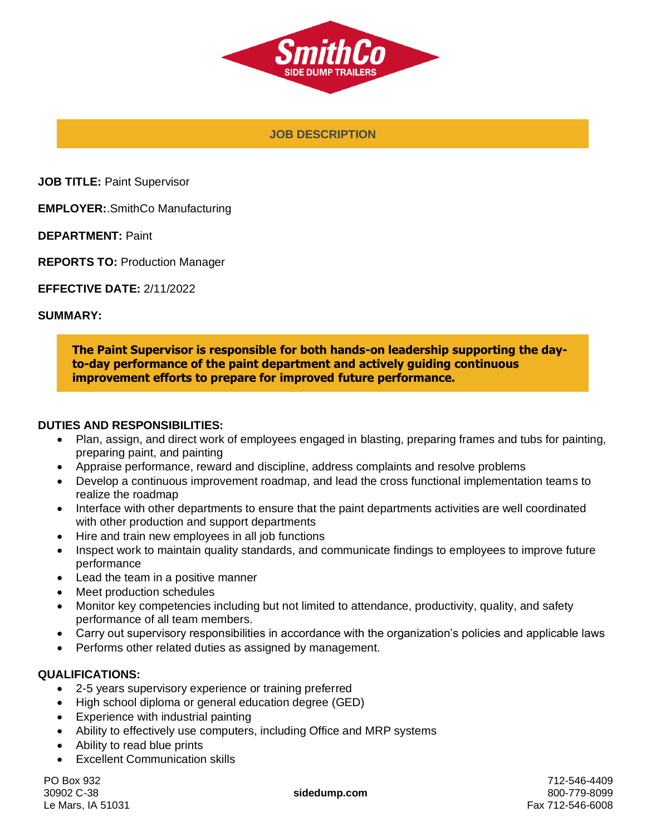

**JOB DESCRIPTION**

**JOB TITLE:** Paint Supervisor

**EMPLOYER:**.SmithCo Manufacturing

**DEPARTMENT:** Paint

**REPORTS TO:** Production Manager

**EFFECTIVE DATE:** 2/11/2022

#### **SUMMARY:**

**The Paint Supervisor is responsible for both hands-on leadership supporting the dayto-day performance of the paint department and actively guiding continuous improvement efforts to prepare for improved future performance.** 

#### **DUTIES AND RESPONSIBILITIES:**

- Plan, assign, and direct work of employees engaged in blasting, preparing frames and tubs for painting, preparing paint, and painting
- Appraise performance, reward and discipline, address complaints and resolve problems
- Develop a continuous improvement roadmap, and lead the cross functional implementation teams to realize the roadmap
- Interface with other departments to ensure that the paint departments activities are well coordinated with other production and support departments
- Hire and train new employees in all job functions
- Inspect work to maintain quality standards, and communicate findings to employees to improve future performance
- Lead the team in a positive manner
- Meet production schedules
- Monitor key competencies including but not limited to attendance, productivity, quality, and safety performance of all team members.
- Carry out supervisory responsibilities in accordance with the organization's policies and applicable laws
- Performs other related duties as assigned by management.

## **QUALIFICATIONS:**

- 2-5 years supervisory experience or training preferred
- High school diploma or general education degree (GED)
- Experience with industrial painting
- Ability to effectively use computers, including Office and MRP systems
- Ability to read blue prints
- **Excellent Communication skills**

PO Box 932 30902 C-38 Le Mars, IA 51031

**sidedump.com**

712-546-4409 800-779-8099 Fax 712-546-6008